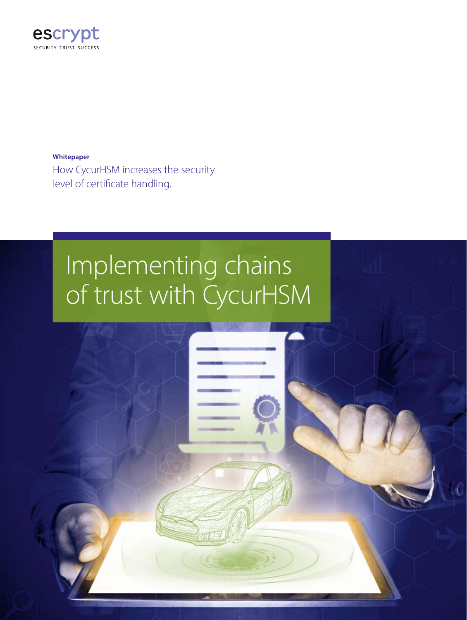

**Whitepaper** How CycurHSM increases the security level of certificate handling.

## Implementing chains of trust with CycurHSM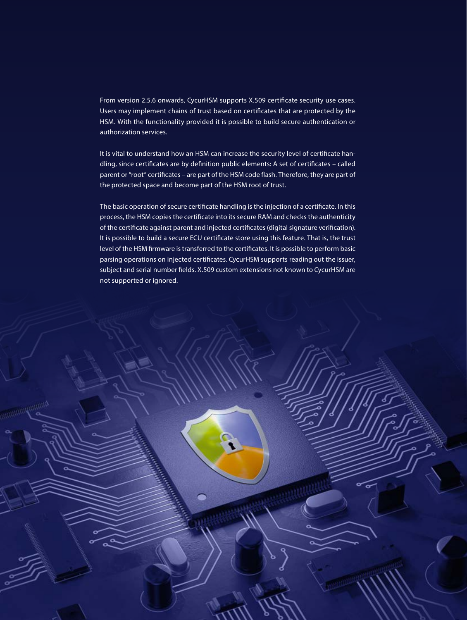From version 2.5.6 onwards, CycurHSM supports X.509 certificate security use cases. Users may implement chains of trust based on certificates that are protected by the HSM. With the functionality provided it is possible to build secure authentication or authorization services.

It is vital to understand how an HSM can increase the security level of certificate handling, since certificates are by definition public elements: A set of certificates – called parent or "root" certificates – are part of the HSM code flash. Therefore, they are part of the protected space and become part of the HSM root of trust.

The basic operation of secure certificate handling is the injection of a certificate. In this process, the HSM copies the certificate into its secure RAM and checks the authenticity of the certificate against parent and injected certificates (digital signature verification). It is possible to build a secure ECU certificate store using this feature. That is, the trust level of the HSM firmware is transferred to the certificates. It is possible to perform basic parsing operations on injected certificates. CycurHSM supports reading out the issuer, subject and serial number fields. X.509 custom extensions not known to CycurHSM are not supported or ignored.

a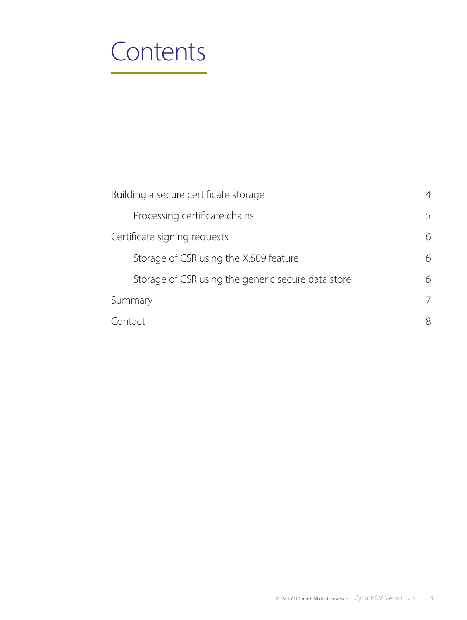### **Contents**

| Building a secure certificate storage              | 4 |
|----------------------------------------------------|---|
| Processing certificate chains                      | 5 |
| Certificate signing requests                       | 6 |
| Storage of CSR using the X.509 feature             | 6 |
| Storage of CSR using the generic secure data store | 6 |
| Summary                                            | 7 |
| Contact                                            |   |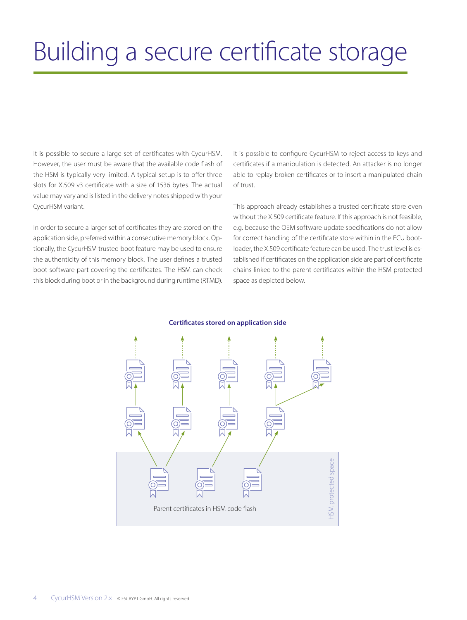## Building a secure certificate storage

It is possible to secure a large set of certificates with CycurHSM. However, the user must be aware that the available code flash of the HSM is typically very limited. A typical setup is to offer three slots for X.509 v3 certificate with a size of 1536 bytes. The actual value may vary and is listed in the delivery notes shipped with your CycurHSM variant.

In order to secure a larger set of certificates they are stored on the application side, preferred within a consecutive memory block. Optionally, the CycurHSM trusted boot feature may be used to ensure the authenticity of this memory block. The user defines a trusted boot software part covering the certificates. The HSM can check this block during boot or in the background during runtime (RTMD). It is possible to configure CycurHSM to reject access to keys and certificates if a manipulation is detected. An attacker is no longer able to replay broken certificates or to insert a manipulated chain of trust.

This approach already establishes a trusted certificate store even without the X.509 certificate feature. If this approach is not feasible, e.g. because the OEM software update specifications do not allow for correct handling of the certificate store within in the ECU bootloader, the X.509 certificate feature can be used. The trust level is established if certificates on the application side are part of certificate chains linked to the parent certificates within the HSM protected space as depicted below.



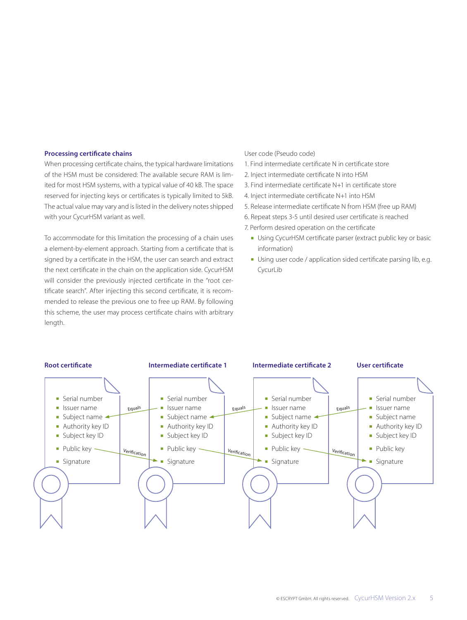#### **Processing certificate chains**

When processing certificate chains, the typical hardware limitations of the HSM must be considered: The available secure RAM is limited for most HSM systems, with a typical value of 40 kB. The space reserved for injecting keys or certificates is typically limited to 5kB. The actual value may vary and is listed in the delivery notes shipped with your CycurHSM variant as well.

To accommodate for this limitation the processing of a chain uses a element-by-element approach. Starting from a certificate that is signed by a certificate in the HSM, the user can search and extract the next certificate in the chain on the application side. CycurHSM will consider the previously injected certificate in the "root certificate search". After injecting this second certificate, it is recommended to release the previous one to free up RAM. By following this scheme, the user may process certificate chains with arbitrary length.

#### User code (Pseudo code)

1. Find intermediate certificate N in certificate store

- 2. Inject intermediate certificate N into HSM
- 3. Find intermediate certificate N+1 in certificate store
- 4. Inject intermediate certificate N+1 into HSM
- 5. Release intermediate certificate N from HSM (free up RAM)
- 6. Repeat steps 3-5 until desired user certificate is reached
- 7. Perform desired operation on the certificate
	- **Using CycurHSM certificate parser (extract public key or basic** information)
	- **Using user code / application sided certificate parsing lib, e.g.** CycurLib

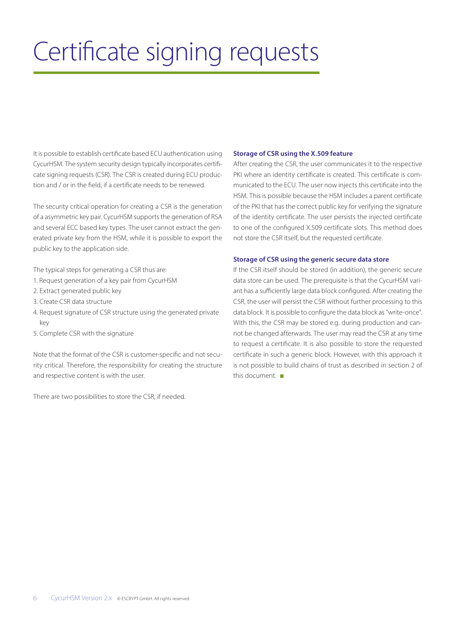# Certificate signing requests

It is possible to establish certificate based ECU authentication using CycurHSM. The system security design typically incorporates certificate signing requests (CSR). The CSR is created during ECU production and / or in the field, if a certificate needs to be renewed.

The security critical operation for creating a CSR is the generation of a asymmetric key pair. CycurHSM supports the generation of RSA and several ECC based key types. The user cannot extract the generated private key from the HSM, while it is possible to export the public key to the application side.

The typical steps for generating a CSR thus are:

- 1. Request generation of a key pair from CycurHSM
- 2. Extract generated public key
- 3. Create CSR data structure
- 4. Request signature of CSR structure using the generated private key
- 5. Complete CSR with the signature

Note that the format of the CSR is customer-specific and not security critical. Therefore, the responsibility for creating the structure and respective content is with the user.

There are two possibilities to store the CSR, if needed.

#### **Storage of CSR using the X.509 feature**

After creating the CSR, the user communicates it to the respective PKI where an identity certificate is created. This certificate is communicated to the ECU. The user now injects this certificate into the HSM. This is possible because the HSM includes a parent certificate of the PKI that has the correct public key for verifying the signature of the identity certificate. The user persists the injected certificate to one of the configured X.509 certificate slots. This method does not store the CSR itself, but the requested certificate.

#### **Storage of CSR using the generic secure data store**

If the CSR itself should be stored (in addition), the generic secure data store can be used. The prerequisite is that the CycurHSM variant has a sufficiently large data block configured. After creating the CSR, the user will persist the CSR without further processing to this data block. It is possible to configure the data block as "write-once". With this, the CSR may be stored e.g. during production and cannot be changed afterwards. The user may read the CSR at any time to request a certificate. It is also possible to store the requested certificate in such a generic block. However, with this approach it is not possible to build chains of trust as described in section 2 of this document. ■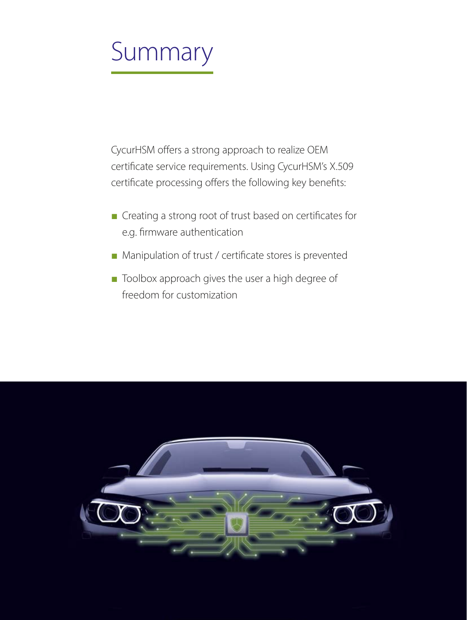# Summary

CycurHSM offers a strong approach to realize OEM certificate service requirements. Using CycurHSM's X.509 certificate processing offers the following key benefits:

- Creating a strong root of trust based on certificates for e.g. firmware authentication
- Manipulation of trust / certificate stores is prevented
- Toolbox approach gives the user a high degree of freedom for customization